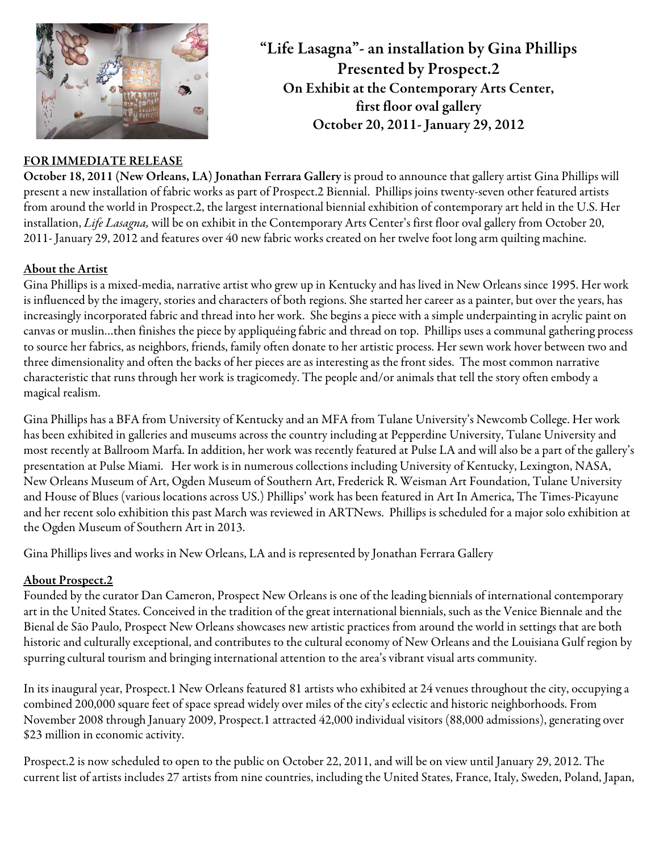

## FOR IMMEDIATE RELEASE

October 18, 2011 (New Orleans, LA) Jonathan Ferrara Gallery is proud to announce that gallery artist Gina Phillips will present a new installation of fabric works as part of Prospect.2 Biennial. Phillips joins twenty-seven other featured artists from around the world in Prospect.2, the largest international biennial exhibition of contemporary art held in the U.S. Her installation, *Life Lasagna,* will be on exhibit in the Contemporary Arts Center's first floor oval gallery from October 20, 2011- January 29, 2012 and features over 40 new fabric works created on her twelve foot long arm quilting machine.

"Life Lasagna"- an installation by Gina Phillips Presented by Prospect.2 On Exhibit at the Contemporary Arts Center, first floor oval gallery October 20, 2011- January 29, 2012

## About the Artist

Gina Phillips is a mixed-media, narrative artist who grew up in Kentucky and has lived in New Orleans since 1995. Her work is influenced by the imagery, stories and characters of both regions. She started her career as a painter, but over the years, has increasingly incorporated fabric and thread into her work. She begins a piece with a simple underpainting in acrylic paint on canvas or muslin…then finishes the piece by appliquéing fabric and thread on top. Phillips uses a communal gathering process to source her fabrics, as neighbors, friends, family often donate to her artistic process. Her sewn work hover between two and three dimensionality and often the backs of her pieces are as interesting as the front sides. The most common narrative characteristic that runs through her work is tragicomedy. The people and/or animals that tell the story often embody a magical realism.

Gina Phillips has a BFA from University of Kentucky and an MFA from Tulane University's Newcomb College. Her work has been exhibited in galleries and museums across the country including at Pepperdine University, Tulane University and most recently at Ballroom Marfa. In addition, her work was recently featured at Pulse LA and will also be a part of the gallery's presentation at Pulse Miami. Her work is in numerous collections including University of Kentucky, Lexington, NASA, New Orleans Museum of Art, Ogden Museum of Southern Art, Frederick R. Weisman Art Foundation, Tulane University and House of Blues (various locations across US.) Phillips' work has been featured in Art In America, The Times-Picayune and her recent solo exhibition this past March was reviewed in ARTNews. Phillips is scheduled for a major solo exhibition at the Ogden Museum of Southern Art in 2013.

Gina Phillips lives and works in New Orleans, LA and is represented by Jonathan Ferrara Gallery

## About Prospect.2

Founded by the curator Dan Cameron, Prospect New Orleans is one of the leading biennials of international contemporary art in the United States. Conceived in the tradition of the great international biennials, such as the Venice Biennale and the Bienal de São Paulo, Prospect New Orleans showcases new artistic practices from around the world in settings that are both historic and culturally exceptional, and contributes to the cultural economy of New Orleans and the Louisiana Gulf region by spurring cultural tourism and bringing international attention to the area's vibrant visual arts community.

In its inaugural year, Prospect.1 New Orleans featured 81 artists who exhibited at 24 venues throughout the city, occupying a combined 200,000 square feet of space spread widely over miles of the city's eclectic and historic neighborhoods. From November 2008 through January 2009, Prospect.1 attracted 42,000 individual visitors (88,000 admissions), generating over \$23 million in economic activity.

Prospect.2 is now scheduled to open to the public on October 22, 2011, and will be on view until January 29, 2012. The current list of artists includes 27 artists from nine countries, including the United States, France, Italy, Sweden, Poland, Japan,